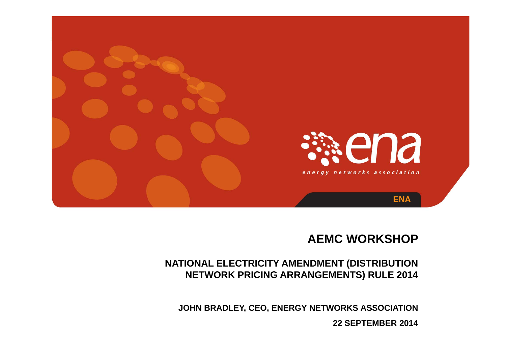

#### **AEMC WORKSHOP**

#### **NATIONAL ELECTRICITY AMENDMENT (DISTRIBUTION NETWORK PRICING ARRANGEMENTS) RULE 2014**

**JOHN BRADLEY, CEO, ENERGY NETWORKS ASSOCIATION**

**22 SEPTEMBER 2014**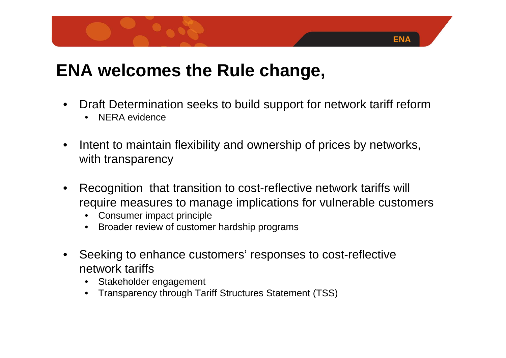### **ENA welcomes the Rule change,**

•Draft Determination seeks to build support for network tariff reform

- $\bullet$ NERA evidence
- • Intent to maintain flexibility and ownership of prices by networks, with transparency
- • Recognition that transition to cost-reflective network tariffs will require measures to manage implications for vulnerable customers
	- •Consumer impact principle
	- $\bullet$ Broader review of customer hardship programs
- Seeking to enhance customers' responses to cost-reflective network tariffs
	- $\bullet$ Stakeholder engagement
	- •Transparency through Tariff Structures Statement (TSS)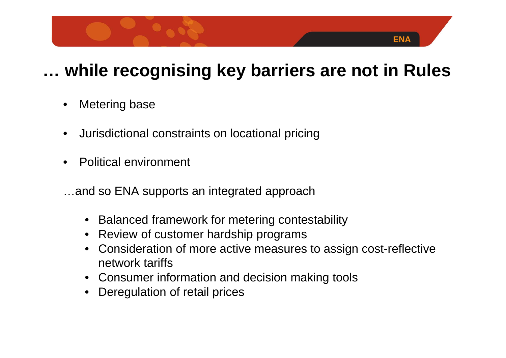# **… while recognising key barriers are not in Rules**

- •Metering base
- •Jurisdictional constraints on locational pricing
- •Political environment
- …and so ENA supports an integrated approach
	- $\bullet$ Balanced framework for metering contestability
	- $\bullet$ Review of customer hardship programs
	- • Consideration of more active measures to assign cost-reflective network tariffs
	- Consumer information and decision making tools
	- $\bullet$ Deregulation of retail prices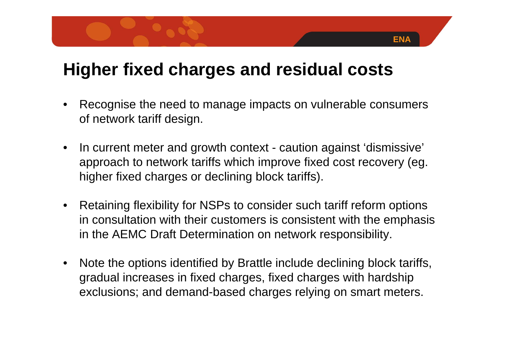#### **Higher fixed charges and residual costs**

• Recognise the need to manage impacts on vulnerable consumers of network tariff design.

- $\bullet$  In current meter and growth context - caution against 'dismissive' approach to network tariffs which improve fixed cost recovery (eg. higher fixed charges or declining block tariffs).
- Retaining flexibility for NSPs to consider such tariff reform options in consultation with their customers is consistent with the emphasis in the AEMC Draft Determination on network responsibility.
- $\bullet$  Note the options identified by Brattle include declining block tariffs, gradual increases in fixed charges, fixed charges with hardship exclusions; and demand-based charges relying on smart meters.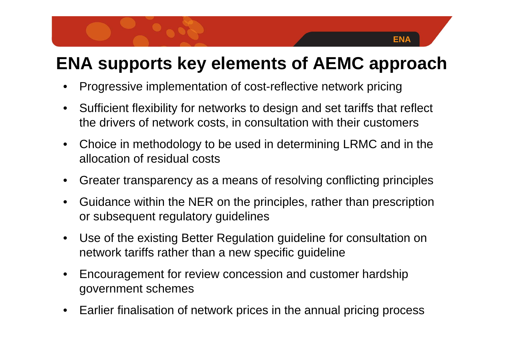# **ENA supports key elements of AEMC approach**

- •Progressive implementation of cost-reflective network pricing
- $\bullet$  Sufficient flexibility for networks to design and set tariffs that reflect the drivers of network costs, in consultation with their customers
- • Choice in methodology to be used in determining LRMC and in the allocation of residual costs
- $\bullet$ Greater transparency as a means of resolving conflicting principles
- • Guidance within the NER on the principles, rather than prescription or subsequent regulatory guidelines
- $\bullet$  Use of the existing Better Regulation guideline for consultation on network tariffs rather than a new specific guideline
- • Encouragement for review concession and customer hardship government schemes
- •Earlier finalisation of network prices in the annual pricing process